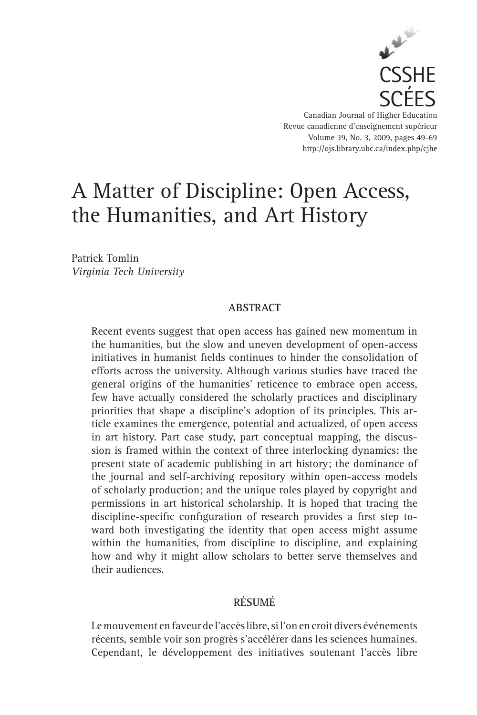

Canadian Journal of Higher Education Revue canadienne d'enseignement supérieur Volume 39, No. 3, 2009, pages 49-69 http://ojs.library.ubc.ca/index.php/cjhe

# A Matter of Discipline: Open Access, the Humanities, and Art History

Patrick Tomlin *Virginia Tech University*

## **ABSTRACT**

Recent events suggest that open access has gained new momentum in the humanities, but the slow and uneven development of open-access initiatives in humanist fields continues to hinder the consolidation of efforts across the university. Although various studies have traced the general origins of the humanities' reticence to embrace open access, few have actually considered the scholarly practices and disciplinary priorities that shape a discipline's adoption of its principles. This article examines the emergence, potential and actualized, of open access in art history. Part case study, part conceptual mapping, the discussion is framed within the context of three interlocking dynamics: the present state of academic publishing in art history; the dominance of the journal and self-archiving repository within open-access models of scholarly production; and the unique roles played by copyright and permissions in art historical scholarship. It is hoped that tracing the discipline-specific configuration of research provides a first step toward both investigating the identity that open access might assume within the humanities, from discipline to discipline, and explaining how and why it might allow scholars to better serve themselves and their audiences.

# **RÉSUMÉ**

Le mouvement en faveur de l'accès libre, si l'on en croit divers événements récents, semble voir son progrès s'accélérer dans les sciences humaines. Cependant, le développement des initiatives soutenant l'accès libre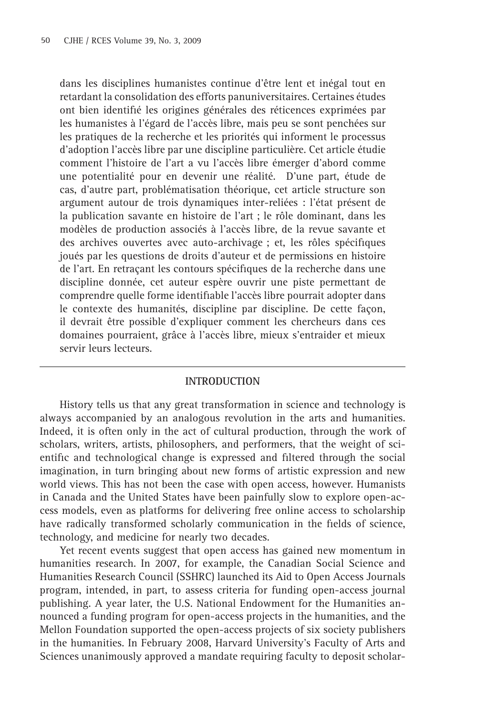dans les disciplines humanistes continue d'être lent et inégal tout en retardant la consolidation des efforts panuniversitaires. Certaines études ont bien identifié les origines générales des réticences exprimées par les humanistes à l'égard de l'accès libre, mais peu se sont penchées sur les pratiques de la recherche et les priorités qui informent le processus d'adoption l'accès libre par une discipline particulière. Cet article étudie comment l'histoire de l'art a vu l'accès libre émerger d'abord comme une potentialité pour en devenir une réalité. D'une part, étude de cas, d'autre part, problématisation théorique, cet article structure son argument autour de trois dynamiques inter-reliées : l'état présent de la publication savante en histoire de l'art ; le rôle dominant, dans les modèles de production associés à l'accès libre, de la revue savante et des archives ouvertes avec auto-archivage ; et, les rôles spécifiques joués par les questions de droits d'auteur et de permissions en histoire de l'art. En retraçant les contours spécifiques de la recherche dans une discipline donnée, cet auteur espère ouvrir une piste permettant de comprendre quelle forme identifiable l'accès libre pourrait adopter dans le contexte des humanités, discipline par discipline. De cette façon, il devrait être possible d'expliquer comment les chercheurs dans ces domaines pourraient, grâce à l'accès libre, mieux s'entraider et mieux servir leurs lecteurs.

### **INTRODUCTION**

History tells us that any great transformation in science and technology is always accompanied by an analogous revolution in the arts and humanities. Indeed, it is often only in the act of cultural production, through the work of scholars, writers, artists, philosophers, and performers, that the weight of scientific and technological change is expressed and filtered through the social imagination, in turn bringing about new forms of artistic expression and new world views. This has not been the case with open access, however. Humanists in Canada and the United States have been painfully slow to explore open-access models, even as platforms for delivering free online access to scholarship have radically transformed scholarly communication in the fields of science, technology, and medicine for nearly two decades.

Yet recent events suggest that open access has gained new momentum in humanities research. In 2007, for example, the Canadian Social Science and Humanities Research Council (SSHRC) launched its Aid to Open Access Journals program, intended, in part, to assess criteria for funding open-access journal publishing. A year later, the U.S. National Endowment for the Humanities announced a funding program for open-access projects in the humanities, and the Mellon Foundation supported the open-access projects of six society publishers in the humanities. In February 2008, Harvard University's Faculty of Arts and Sciences unanimously approved a mandate requiring faculty to deposit scholar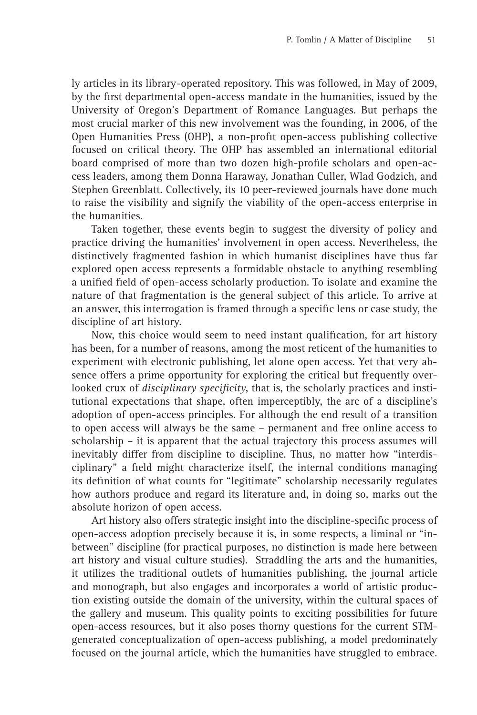ly articles in its library-operated repository. This was followed, in May of 2009, by the first departmental open-access mandate in the humanities, issued by the University of Oregon's Department of Romance Languages. But perhaps the most crucial marker of this new involvement was the founding, in 2006, of the Open Humanities Press (OHP), a non-profit open-access publishing collective focused on critical theory. The OHP has assembled an international editorial board comprised of more than two dozen high-profile scholars and open-access leaders, among them Donna Haraway, Jonathan Culler, Wlad Godzich, and Stephen Greenblatt. Collectively, its 10 peer-reviewed journals have done much to raise the visibility and signify the viability of the open-access enterprise in the humanities.

Taken together, these events begin to suggest the diversity of policy and practice driving the humanities' involvement in open access. Nevertheless, the distinctively fragmented fashion in which humanist disciplines have thus far explored open access represents a formidable obstacle to anything resembling a unified field of open-access scholarly production. To isolate and examine the nature of that fragmentation is the general subject of this article. To arrive at an answer, this interrogation is framed through a specific lens or case study, the discipline of art history.

Now, this choice would seem to need instant qualification, for art history has been, for a number of reasons, among the most reticent of the humanities to experiment with electronic publishing, let alone open access. Yet that very absence offers a prime opportunity for exploring the critical but frequently overlooked crux of *disciplinary specificity*, that is, the scholarly practices and institutional expectations that shape, often imperceptibly, the arc of a discipline's adoption of open-access principles. For although the end result of a transition to open access will always be the same – permanent and free online access to scholarship – it is apparent that the actual trajectory this process assumes will inevitably differ from discipline to discipline. Thus, no matter how "interdisciplinary" a field might characterize itself, the internal conditions managing its definition of what counts for "legitimate" scholarship necessarily regulates how authors produce and regard its literature and, in doing so, marks out the absolute horizon of open access.

Art history also offers strategic insight into the discipline-specific process of open-access adoption precisely because it is, in some respects, a liminal or "inbetween" discipline (for practical purposes, no distinction is made here between art history and visual culture studies). Straddling the arts and the humanities, it utilizes the traditional outlets of humanities publishing, the journal article and monograph, but also engages and incorporates a world of artistic production existing outside the domain of the university, within the cultural spaces of the gallery and museum. This quality points to exciting possibilities for future open-access resources, but it also poses thorny questions for the current STMgenerated conceptualization of open-access publishing, a model predominately focused on the journal article, which the humanities have struggled to embrace.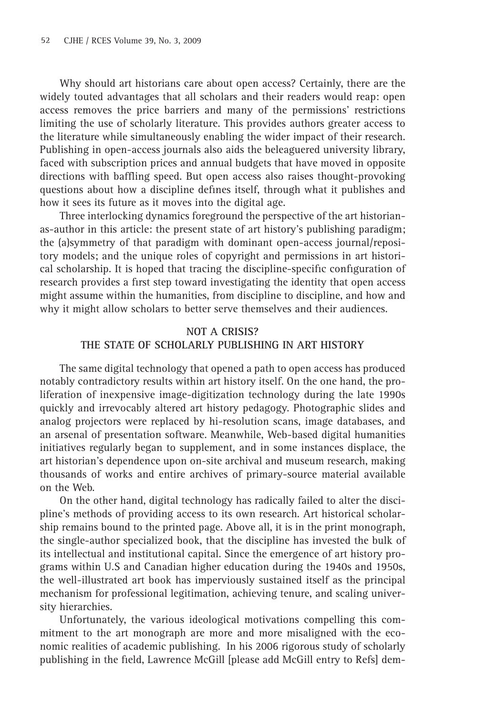Why should art historians care about open access? Certainly, there are the widely touted advantages that all scholars and their readers would reap: open access removes the price barriers and many of the permissions' restrictions limiting the use of scholarly literature. This provides authors greater access to the literature while simultaneously enabling the wider impact of their research. Publishing in open-access journals also aids the beleaguered university library, faced with subscription prices and annual budgets that have moved in opposite directions with baffling speed. But open access also raises thought-provoking questions about how a discipline defines itself, through what it publishes and how it sees its future as it moves into the digital age.

Three interlocking dynamics foreground the perspective of the art historianas-author in this article: the present state of art history's publishing paradigm; the (a)symmetry of that paradigm with dominant open-access journal/repository models; and the unique roles of copyright and permissions in art historical scholarship. It is hoped that tracing the discipline-specific configuration of research provides a first step toward investigating the identity that open access might assume within the humanities, from discipline to discipline, and how and why it might allow scholars to better serve themselves and their audiences.

# **NOT A CRISIS? THE STATE OF SCHOLARLY PUBLISHING IN ART HISTORY**

The same digital technology that opened a path to open access has produced notably contradictory results within art history itself. On the one hand, the proliferation of inexpensive image-digitization technology during the late 1990s quickly and irrevocably altered art history pedagogy. Photographic slides and analog projectors were replaced by hi-resolution scans, image databases, and an arsenal of presentation software. Meanwhile, Web-based digital humanities initiatives regularly began to supplement, and in some instances displace, the art historian's dependence upon on-site archival and museum research, making thousands of works and entire archives of primary-source material available on the Web.

On the other hand, digital technology has radically failed to alter the discipline's methods of providing access to its own research. Art historical scholarship remains bound to the printed page. Above all, it is in the print monograph, the single-author specialized book, that the discipline has invested the bulk of its intellectual and institutional capital. Since the emergence of art history programs within U.S and Canadian higher education during the 1940s and 1950s, the well-illustrated art book has imperviously sustained itself as the principal mechanism for professional legitimation, achieving tenure, and scaling university hierarchies.

Unfortunately, the various ideological motivations compelling this commitment to the art monograph are more and more misaligned with the economic realities of academic publishing. In his 2006 rigorous study of scholarly publishing in the field, Lawrence McGill [please add McGill entry to Refs] dem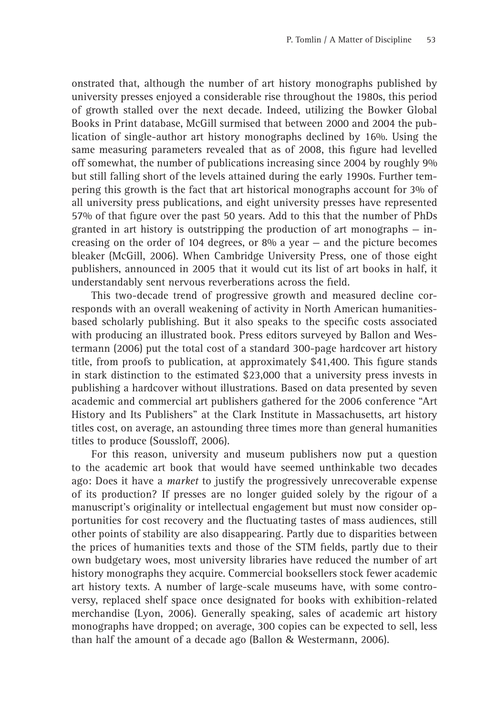onstrated that, although the number of art history monographs published by university presses enjoyed a considerable rise throughout the 1980s, this period of growth stalled over the next decade. Indeed, utilizing the Bowker Global Books in Print database, McGill surmised that between 2000 and 2004 the publication of single-author art history monographs declined by 16%. Using the same measuring parameters revealed that as of 2008, this figure had levelled off somewhat, the number of publications increasing since 2004 by roughly 9% but still falling short of the levels attained during the early 1990s. Further tempering this growth is the fact that art historical monographs account for 3% of all university press publications, and eight university presses have represented 57% of that figure over the past 50 years. Add to this that the number of PhDs granted in art history is outstripping the production of art monographs — increasing on the order of 104 degrees, or 8% a year — and the picture becomes bleaker (McGill, 2006). When Cambridge University Press, one of those eight publishers, announced in 2005 that it would cut its list of art books in half, it understandably sent nervous reverberations across the field.

This two-decade trend of progressive growth and measured decline corresponds with an overall weakening of activity in North American humanitiesbased scholarly publishing. But it also speaks to the specific costs associated with producing an illustrated book. Press editors surveyed by Ballon and Westermann (2006) put the total cost of a standard 300-page hardcover art history title, from proofs to publication, at approximately  $$41,400$ . This figure stands in stark distinction to the estimated \$23,000 that a university press invests in publishing a hardcover without illustrations. Based on data presented by seven academic and commercial art publishers gathered for the 2006 conference "Art History and Its Publishers" at the Clark Institute in Massachusetts, art history titles cost, on average, an astounding three times more than general humanities titles to produce (Soussloff, 2006).

For this reason, university and museum publishers now put a question to the academic art book that would have seemed unthinkable two decades ago: Does it have a *market* to justify the progressively unrecoverable expense of its production? If presses are no longer guided solely by the rigour of a manuscript's originality or intellectual engagement but must now consider opportunities for cost recovery and the fluctuating tastes of mass audiences, still other points of stability are also disappearing. Partly due to disparities between the prices of humanities texts and those of the STM fields, partly due to their own budgetary woes, most university libraries have reduced the number of art history monographs they acquire. Commercial booksellers stock fewer academic art history texts. A number of large-scale museums have, with some controversy, replaced shelf space once designated for books with exhibition-related merchandise (Lyon, 2006). Generally speaking, sales of academic art history monographs have dropped; on average, 300 copies can be expected to sell, less than half the amount of a decade ago (Ballon & Westermann, 2006).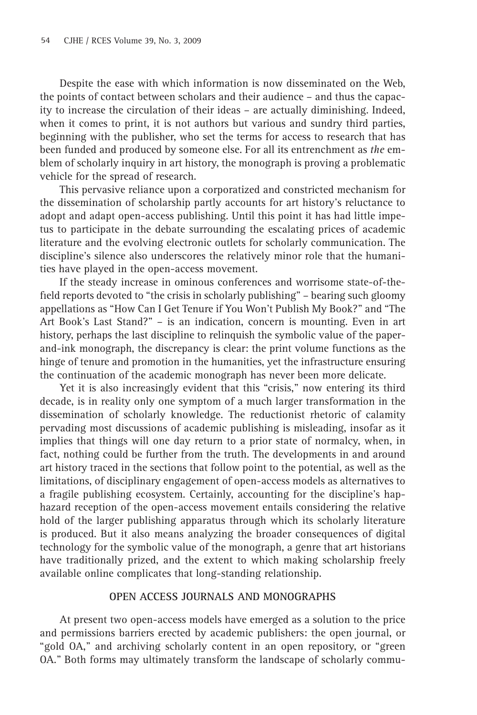Despite the ease with which information is now disseminated on the Web, the points of contact between scholars and their audience – and thus the capacity to increase the circulation of their ideas – are actually diminishing. Indeed, when it comes to print, it is not authors but various and sundry third parties, beginning with the publisher, who set the terms for access to research that has been funded and produced by someone else. For all its entrenchment as *the* emblem of scholarly inquiry in art history, the monograph is proving a problematic vehicle for the spread of research.

This pervasive reliance upon a corporatized and constricted mechanism for the dissemination of scholarship partly accounts for art history's reluctance to adopt and adapt open-access publishing. Until this point it has had little impetus to participate in the debate surrounding the escalating prices of academic literature and the evolving electronic outlets for scholarly communication. The discipline's silence also underscores the relatively minor role that the humanities have played in the open-access movement.

If the steady increase in ominous conferences and worrisome state-of-thefield reports devoted to "the crisis in scholarly publishing" – bearing such gloomy appellations as "How Can I Get Tenure if You Won't Publish My Book?" and "The Art Book's Last Stand?" – is an indication, concern is mounting. Even in art history, perhaps the last discipline to relinquish the symbolic value of the paperand-ink monograph, the discrepancy is clear: the print volume functions as the hinge of tenure and promotion in the humanities, yet the infrastructure ensuring the continuation of the academic monograph has never been more delicate.

Yet it is also increasingly evident that this "crisis," now entering its third decade, is in reality only one symptom of a much larger transformation in the dissemination of scholarly knowledge. The reductionist rhetoric of calamity pervading most discussions of academic publishing is misleading, insofar as it implies that things will one day return to a prior state of normalcy, when, in fact, nothing could be further from the truth. The developments in and around art history traced in the sections that follow point to the potential, as well as the limitations, of disciplinary engagement of open-access models as alternatives to a fragile publishing ecosystem. Certainly, accounting for the discipline's haphazard reception of the open-access movement entails considering the relative hold of the larger publishing apparatus through which its scholarly literature is produced. But it also means analyzing the broader consequences of digital technology for the symbolic value of the monograph, a genre that art historians have traditionally prized, and the extent to which making scholarship freely available online complicates that long-standing relationship.

## **OPEN ACCESS JOURNALS AND MONOGRAPHS**

At present two open-access models have emerged as a solution to the price and permissions barriers erected by academic publishers: the open journal, or "gold OA," and archiving scholarly content in an open repository, or "green OA." Both forms may ultimately transform the landscape of scholarly commu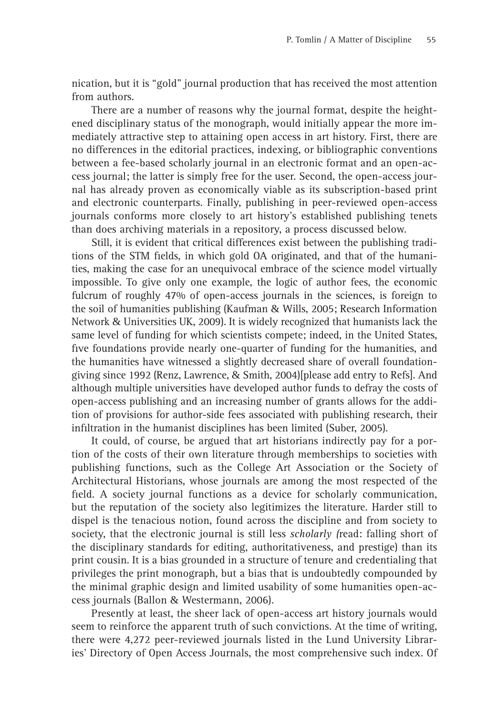nication, but it is "gold" journal production that has received the most attention from authors.

There are a number of reasons why the journal format, despite the heightened disciplinary status of the monograph, would initially appear the more immediately attractive step to attaining open access in art history. First, there are no differences in the editorial practices, indexing, or bibliographic conventions between a fee-based scholarly journal in an electronic format and an open-access journal; the latter is simply free for the user. Second, the open-access journal has already proven as economically viable as its subscription-based print and electronic counterparts. Finally, publishing in peer-reviewed open-access journals conforms more closely to art history's established publishing tenets than does archiving materials in a repository, a process discussed below.

Still, it is evident that critical differences exist between the publishing traditions of the STM fields, in which gold OA originated, and that of the humanities, making the case for an unequivocal embrace of the science model virtually impossible. To give only one example, the logic of author fees, the economic fulcrum of roughly 47% of open-access journals in the sciences, is foreign to the soil of humanities publishing (Kaufman & Wills, 2005; Research Information Network & Universities UK, 2009). It is widely recognized that humanists lack the same level of funding for which scientists compete; indeed, in the United States, five foundations provide nearly one-quarter of funding for the humanities, and the humanities have witnessed a slightly decreased share of overall foundationgiving since 1992 (Renz, Lawrence, & Smith, 2004)[please add entry to Refs]. And although multiple universities have developed author funds to defray the costs of open-access publishing and an increasing number of grants allows for the addition of provisions for author-side fees associated with publishing research, their infiltration in the humanist disciplines has been limited (Suber, 2005).

It could, of course, be argued that art historians indirectly pay for a portion of the costs of their own literature through memberships to societies with publishing functions, such as the College Art Association or the Society of Architectural Historians, whose journals are among the most respected of the field. A society journal functions as a device for scholarly communication, but the reputation of the society also legitimizes the literature. Harder still to dispel is the tenacious notion, found across the discipline and from society to society, that the electronic journal is still less *scholarly (*read: falling short of the disciplinary standards for editing, authoritativeness, and prestige) than its print cousin. It is a bias grounded in a structure of tenure and credentialing that privileges the print monograph, but a bias that is undoubtedly compounded by the minimal graphic design and limited usability of some humanities open-access journals (Ballon & Westermann, 2006).

Presently at least, the sheer lack of open-access art history journals would seem to reinforce the apparent truth of such convictions. At the time of writing, there were 4,272 peer-reviewed journals listed in the Lund University Libraries' Directory of Open Access Journals, the most comprehensive such index. Of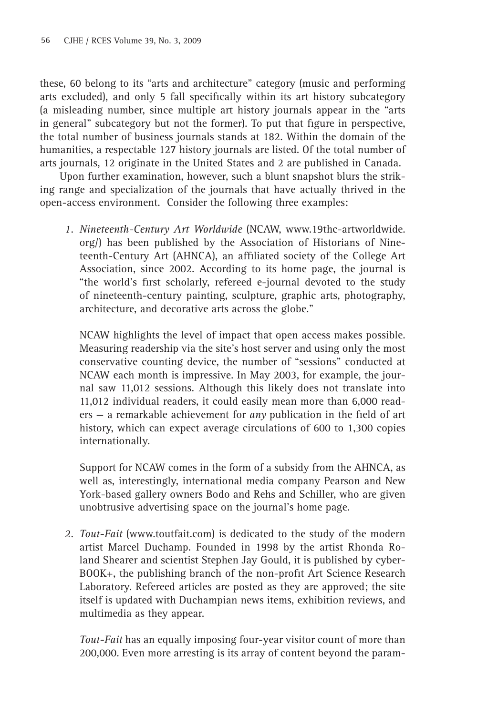these, 60 belong to its "arts and architecture" category (music and performing arts excluded), and only 5 fall specifically within its art history subcategory (a misleading number, since multiple art history journals appear in the "arts in general" subcategory but not the former). To put that figure in perspective, the total number of business journals stands at 182. Within the domain of the humanities, a respectable 127 history journals are listed. Of the total number of arts journals, 12 originate in the United States and 2 are published in Canada.

Upon further examination, however, such a blunt snapshot blurs the striking range and specialization of the journals that have actually thrived in the open-access environment. Consider the following three examples:

*Nineteenth-Century Art Worldwide* (NCAW, www.19thc-artworldwide. *1.* org/) has been published by the Association of Historians of Nineteenth-Century Art (AHNCA), an affiliated society of the College Art Association, since 2002. According to its home page, the journal is "the world's first scholarly, refereed e-journal devoted to the study of nineteenth-century painting, sculpture, graphic arts, photography, architecture, and decorative arts across the globe."

NCAW highlights the level of impact that open access makes possible. Measuring readership via the site's host server and using only the most conservative counting device, the number of "sessions" conducted at NCAW each month is impressive. In May 2003, for example, the journal saw 11,012 sessions. Although this likely does not translate into 11,012 individual readers, it could easily mean more than 6,000 readers – a remarkable achievement for *any* publication in the field of art history, which can expect average circulations of 600 to 1,300 copies internationally.

Support for NCAW comes in the form of a subsidy from the AHNCA, as well as, interestingly, international media company Pearson and New York-based gallery owners Bodo and Rehs and Schiller, who are given unobtrusive advertising space on the journal's home page.

*Tout-Fait* (www.toutfait.com) is dedicated to the study of the modern *2.*artist Marcel Duchamp. Founded in 1998 by the artist Rhonda Roland Shearer and scientist Stephen Jay Gould, it is published by cyber-BOOK+, the publishing branch of the non-profit Art Science Research Laboratory. Refereed articles are posted as they are approved; the site itself is updated with Duchampian news items, exhibition reviews, and multimedia as they appear.

*Tout-Fait* has an equally imposing four-year visitor count of more than 200,000. Even more arresting is its array of content beyond the param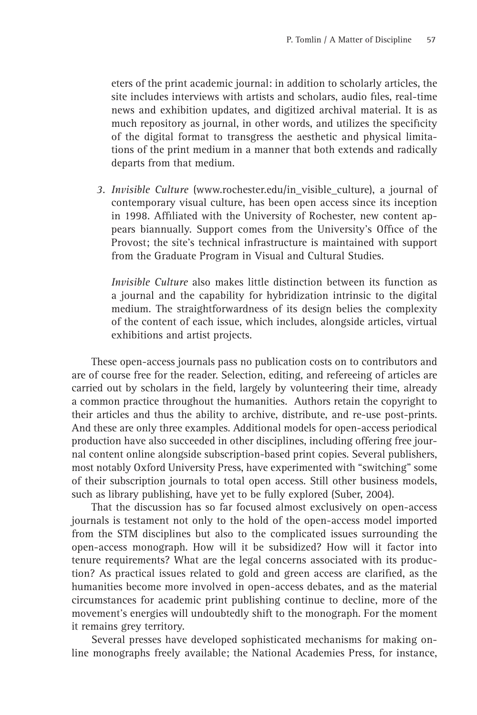eters of the print academic journal: in addition to scholarly articles, the site includes interviews with artists and scholars, audio files, real-time news and exhibition updates, and digitized archival material. It is as much repository as journal, in other words, and utilizes the specificity of the digital format to transgress the aesthetic and physical limitations of the print medium in a manner that both extends and radically departs from that medium.

*Invisible Culture* (www.rochester.edu/in\_visible\_culture), a journal of *3.*contemporary visual culture, has been open access since its inception in 1998. Affiliated with the University of Rochester, new content appears biannually. Support comes from the University's Office of the Provost; the site's technical infrastructure is maintained with support from the Graduate Program in Visual and Cultural Studies.

*Invisible Culture* also makes little distinction between its function as a journal and the capability for hybridization intrinsic to the digital medium. The straightforwardness of its design belies the complexity of the content of each issue, which includes, alongside articles, virtual exhibitions and artist projects.

These open-access journals pass no publication costs on to contributors and are of course free for the reader. Selection, editing, and refereeing of articles are carried out by scholars in the field, largely by volunteering their time, already a common practice throughout the humanities. Authors retain the copyright to their articles and thus the ability to archive, distribute, and re-use post-prints. And these are only three examples. Additional models for open-access periodical production have also succeeded in other disciplines, including offering free journal content online alongside subscription-based print copies. Several publishers, most notably Oxford University Press, have experimented with "switching" some of their subscription journals to total open access. Still other business models, such as library publishing, have yet to be fully explored (Suber, 2004).

That the discussion has so far focused almost exclusively on open-access journals is testament not only to the hold of the open-access model imported from the STM disciplines but also to the complicated issues surrounding the open-access monograph. How will it be subsidized? How will it factor into tenure requirements? What are the legal concerns associated with its production? As practical issues related to gold and green access are clarified, as the humanities become more involved in open-access debates, and as the material circumstances for academic print publishing continue to decline, more of the movement's energies will undoubtedly shift to the monograph. For the moment it remains grey territory.

Several presses have developed sophisticated mechanisms for making online monographs freely available; the National Academies Press, for instance,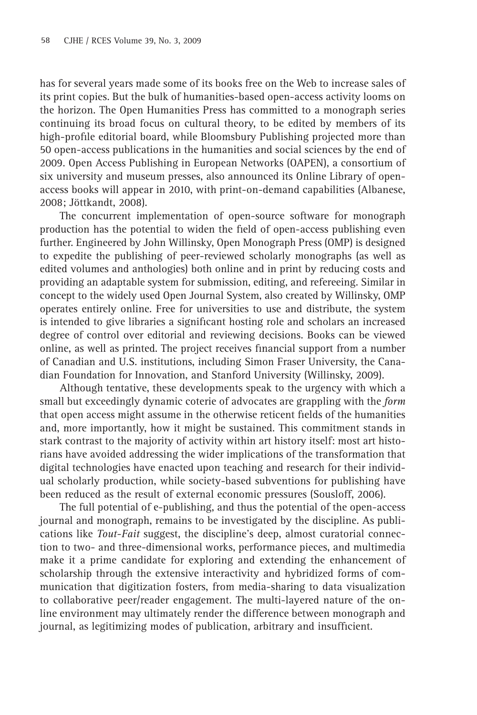has for several years made some of its books free on the Web to increase sales of its print copies. But the bulk of humanities-based open-access activity looms on the horizon. The Open Humanities Press has committed to a monograph series continuing its broad focus on cultural theory, to be edited by members of its high-profile editorial board, while Bloomsbury Publishing projected more than 50 open-access publications in the humanities and social sciences by the end of 2009. Open Access Publishing in European Networks (OAPEN), a consortium of six university and museum presses, also announced its Online Library of openaccess books will appear in 2010, with print-on-demand capabilities (Albanese, 2008; Jöttkandt, 2008).

The concurrent implementation of open-source software for monograph production has the potential to widen the field of open-access publishing even further. Engineered by John Willinsky, Open Monograph Press (OMP) is designed to expedite the publishing of peer-reviewed scholarly monographs (as well as edited volumes and anthologies) both online and in print by reducing costs and providing an adaptable system for submission, editing, and refereeing. Similar in concept to the widely used Open Journal System, also created by Willinsky, OMP operates entirely online. Free for universities to use and distribute, the system is intended to give libraries a significant hosting role and scholars an increased degree of control over editorial and reviewing decisions. Books can be viewed online, as well as printed. The project receives financial support from a number of Canadian and U.S. institutions, including Simon Fraser University, the Canadian Foundation for Innovation, and Stanford University (Willinsky, 2009).

Although tentative, these developments speak to the urgency with which a small but exceedingly dynamic coterie of advocates are grappling with the *form*  that open access might assume in the otherwise reticent fields of the humanities and, more importantly, how it might be sustained. This commitment stands in stark contrast to the majority of activity within art history itself: most art historians have avoided addressing the wider implications of the transformation that digital technologies have enacted upon teaching and research for their individual scholarly production, while society-based subventions for publishing have been reduced as the result of external economic pressures (Sousloff, 2006).

The full potential of e-publishing, and thus the potential of the open-access journal and monograph, remains to be investigated by the discipline. As publications like *Tout*-*Fait* suggest, the discipline's deep, almost curatorial connection to two- and three-dimensional works, performance pieces, and multimedia make it a prime candidate for exploring and extending the enhancement of scholarship through the extensive interactivity and hybridized forms of communication that digitization fosters, from media-sharing to data visualization to collaborative peer/reader engagement. The multi-layered nature of the online environment may ultimately render the difference between monograph and journal, as legitimizing modes of publication, arbitrary and insufficient.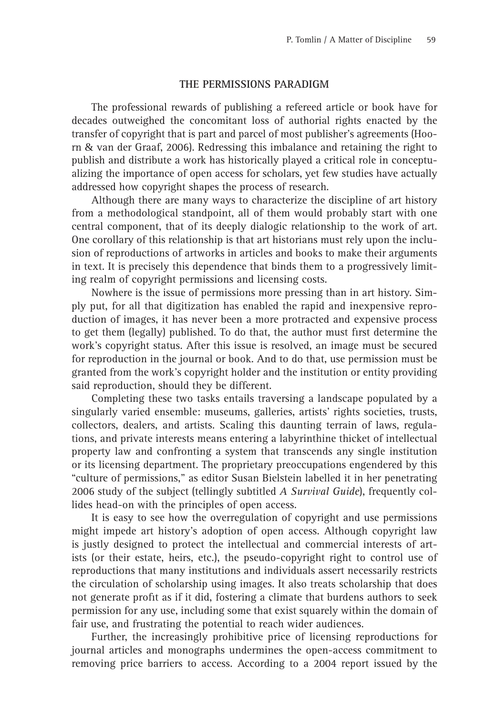#### **THE PERMISSIONS PARADIGM**

The professional rewards of publishing a refereed article or book have for decades outweighed the concomitant loss of authorial rights enacted by the transfer of copyright that is part and parcel of most publisher's agreements (Hoorn & van der Graaf, 2006). Redressing this imbalance and retaining the right to publish and distribute a work has historically played a critical role in conceptualizing the importance of open access for scholars, yet few studies have actually addressed how copyright shapes the process of research.

Although there are many ways to characterize the discipline of art history from a methodological standpoint, all of them would probably start with one central component, that of its deeply dialogic relationship to the work of art. One corollary of this relationship is that art historians must rely upon the inclusion of reproductions of artworks in articles and books to make their arguments in text. It is precisely this dependence that binds them to a progressively limiting realm of copyright permissions and licensing costs.

Nowhere is the issue of permissions more pressing than in art history. Simply put, for all that digitization has enabled the rapid and inexpensive reproduction of images, it has never been a more protracted and expensive process to get them (legally) published. To do that, the author must first determine the work's copyright status. After this issue is resolved, an image must be secured for reproduction in the journal or book. And to do that, use permission must be granted from the work's copyright holder and the institution or entity providing said reproduction, should they be different.

Completing these two tasks entails traversing a landscape populated by a singularly varied ensemble: museums, galleries, artists' rights societies, trusts, collectors, dealers, and artists. Scaling this daunting terrain of laws, regulations, and private interests means entering a labyrinthine thicket of intellectual property law and confronting a system that transcends any single institution or its licensing department. The proprietary preoccupations engendered by this "culture of permissions," as editor Susan Bielstein labelled it in her penetrating 2006 study of the subject (tellingly subtitled *A Survival Guide*), frequently collides head-on with the principles of open access.

It is easy to see how the overregulation of copyright and use permissions might impede art history's adoption of open access. Although copyright law is justly designed to protect the intellectual and commercial interests of artists (or their estate, heirs, etc.), the pseudo-copyright right to control use of reproductions that many institutions and individuals assert necessarily restricts the circulation of scholarship using images. It also treats scholarship that does not generate profit as if it did, fostering a climate that burdens authors to seek permission for any use, including some that exist squarely within the domain of fair use, and frustrating the potential to reach wider audiences.

Further, the increasingly prohibitive price of licensing reproductions for journal articles and monographs undermines the open-access commitment to removing price barriers to access. According to a 2004 report issued by the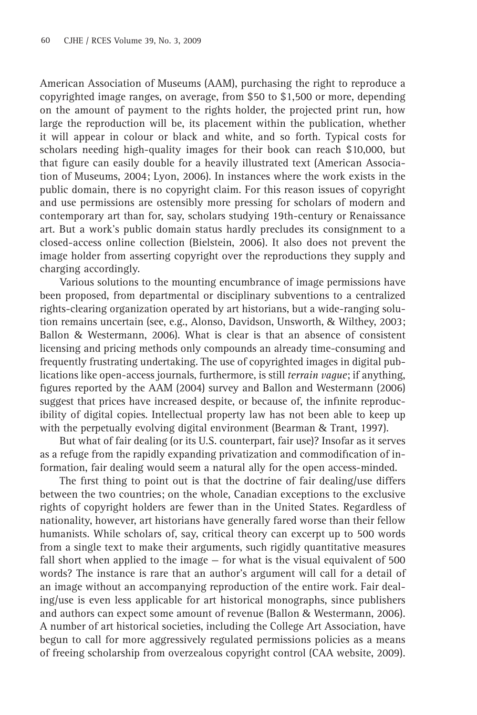American Association of Museums (AAM), purchasing the right to reproduce a copyrighted image ranges, on average, from \$50 to \$1,500 or more, depending on the amount of payment to the rights holder, the projected print run, how large the reproduction will be, its placement within the publication, whether it will appear in colour or black and white, and so forth. Typical costs for scholars needing high-quality images for their book can reach \$10,000, but that figure can easily double for a heavily illustrated text (American Association of Museums, 2004; Lyon, 2006). In instances where the work exists in the public domain, there is no copyright claim. For this reason issues of copyright and use permissions are ostensibly more pressing for scholars of modern and contemporary art than for, say, scholars studying 19th-century or Renaissance art. But a work's public domain status hardly precludes its consignment to a closed-access online collection (Bielstein, 2006). It also does not prevent the image holder from asserting copyright over the reproductions they supply and charging accordingly.

Various solutions to the mounting encumbrance of image permissions have been proposed, from departmental or disciplinary subventions to a centralized rights-clearing organization operated by art historians, but a wide-ranging solution remains uncertain (see, e.g., Alonso, Davidson, Unsworth, & Wilthey, 2003; Ballon & Westermann, 2006). What is clear is that an absence of consistent licensing and pricing methods only compounds an already time-consuming and frequently frustrating undertaking. The use of copyrighted images in digital publications like open-access journals, furthermore, is still *terrain vague*; if anything, figures reported by the AAM (2004) survey and Ballon and Westermann (2006) suggest that prices have increased despite, or because of, the infinite reproducibility of digital copies. Intellectual property law has not been able to keep up with the perpetually evolving digital environment (Bearman & Trant, 1997).

But what of fair dealing (or its U.S. counterpart, fair use)? Insofar as it serves as a refuge from the rapidly expanding privatization and commodification of information, fair dealing would seem a natural ally for the open access-minded.

The first thing to point out is that the doctrine of fair dealing/use differs between the two countries; on the whole, Canadian exceptions to the exclusive rights of copyright holders are fewer than in the United States. Regardless of nationality, however, art historians have generally fared worse than their fellow humanists. While scholars of, say, critical theory can excerpt up to 500 words from a single text to make their arguments, such rigidly quantitative measures fall short when applied to the image  $-$  for what is the visual equivalent of 500 words? The instance is rare that an author's argument will call for a detail of an image without an accompanying reproduction of the entire work. Fair dealing/use is even less applicable for art historical monographs, since publishers and authors can expect some amount of revenue (Ballon & Westermann, 2006). A number of art historical societies, including the College Art Association, have begun to call for more aggressively regulated permissions policies as a means of freeing scholarship from overzealous copyright control (CAA website, 2009).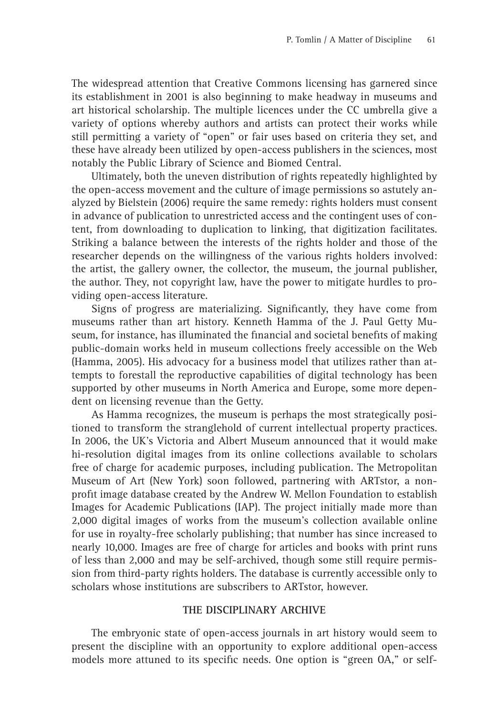The widespread attention that Creative Commons licensing has garnered since its establishment in 2001 is also beginning to make headway in museums and art historical scholarship. The multiple licences under the CC umbrella give a variety of options whereby authors and artists can protect their works while still permitting a variety of "open" or fair uses based on criteria they set, and these have already been utilized by open-access publishers in the sciences, most notably the Public Library of Science and Biomed Central.

Ultimately, both the uneven distribution of rights repeatedly highlighted by the open-access movement and the culture of image permissions so astutely analyzed by Bielstein (2006) require the same remedy: rights holders must consent in advance of publication to unrestricted access and the contingent uses of content, from downloading to duplication to linking, that digitization facilitates. Striking a balance between the interests of the rights holder and those of the researcher depends on the willingness of the various rights holders involved: the artist, the gallery owner, the collector, the museum, the journal publisher, the author. They, not copyright law, have the power to mitigate hurdles to providing open-access literature.

Signs of progress are materializing. Significantly, they have come from museums rather than art history. Kenneth Hamma of the J. Paul Getty Museum, for instance, has illuminated the financial and societal benefits of making public-domain works held in museum collections freely accessible on the Web (Hamma, 2005). His advocacy for a business model that utilizes rather than attempts to forestall the reproductive capabilities of digital technology has been supported by other museums in North America and Europe, some more dependent on licensing revenue than the Getty.

As Hamma recognizes, the museum is perhaps the most strategically positioned to transform the stranglehold of current intellectual property practices. In 2006, the UK's Victoria and Albert Museum announced that it would make hi-resolution digital images from its online collections available to scholars free of charge for academic purposes, including publication. The Metropolitan Museum of Art (New York) soon followed, partnering with ARTstor, a nonprofit image database created by the Andrew W. Mellon Foundation to establish Images for Academic Publications (IAP). The project initially made more than 2,000 digital images of works from the museum's collection available online for use in royalty-free scholarly publishing; that number has since increased to nearly 10,000. Images are free of charge for articles and books with print runs of less than 2,000 and may be self-archived, though some still require permission from third-party rights holders. The database is currently accessible only to scholars whose institutions are subscribers to ARTstor, however.

## **THE DISCIPLINARY ARCHIVE**

The embryonic state of open-access journals in art history would seem to present the discipline with an opportunity to explore additional open-access models more attuned to its specific needs. One option is "green OA," or self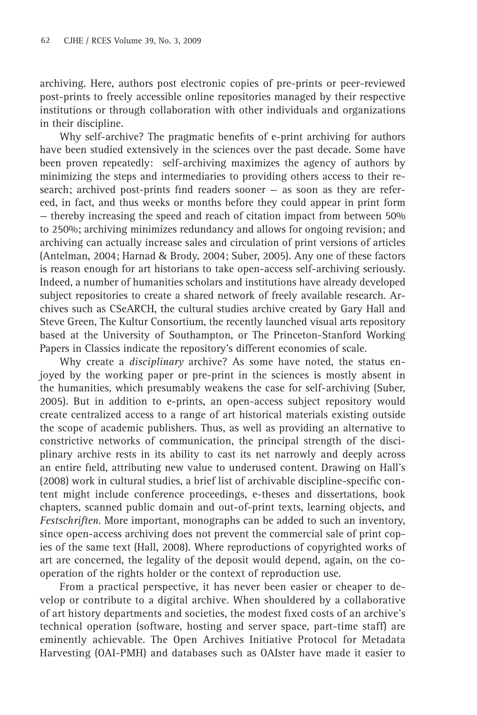archiving. Here, authors post electronic copies of pre-prints or peer-reviewed post-prints to freely accessible online repositories managed by their respective institutions or through collaboration with other individuals and organizations in their discipline.

Why self-archive? The pragmatic benefits of e-print archiving for authors have been studied extensively in the sciences over the past decade. Some have been proven repeatedly: self-archiving maximizes the agency of authors by minimizing the steps and intermediaries to providing others access to their research; archived post-prints find readers sooner  $-$  as soon as they are refereed, in fact, and thus weeks or months before they could appear in print form — thereby increasing the speed and reach of citation impact from between 50% to 250%; archiving minimizes redundancy and allows for ongoing revision; and archiving can actually increase sales and circulation of print versions of articles (Antelman, 2004; Harnad & Brody, 2004; Suber, 2005). Any one of these factors is reason enough for art historians to take open-access self-archiving seriously. Indeed, a number of humanities scholars and institutions have already developed subject repositories to create a shared network of freely available research. Archives such as CSeARCH, the cultural studies archive created by Gary Hall and Steve Green, The Kultur Consortium, the recently launched visual arts repository based at the University of Southampton, or The Princeton-Stanford Working Papers in Classics indicate the repository's different economies of scale.

Why create a *disciplinary* archive? As some have noted, the status enjoyed by the working paper or pre-print in the sciences is mostly absent in the humanities, which presumably weakens the case for self-archiving (Suber, 2005). But in addition to e-prints, an open-access subject repository would create centralized access to a range of art historical materials existing outside the scope of academic publishers. Thus, as well as providing an alternative to constrictive networks of communication, the principal strength of the disciplinary archive rests in its ability to cast its net narrowly and deeply across an entire field, attributing new value to underused content. Drawing on Hall's (2008) work in cultural studies, a brief list of archivable discipline-specific content might include conference proceedings, e-theses and dissertations, book chapters, scanned public domain and out-of-print texts, learning objects, and *Festschriften*. More important, monographs can be added to such an inventory, since open-access archiving does not prevent the commercial sale of print copies of the same text (Hall, 2008). Where reproductions of copyrighted works of art are concerned, the legality of the deposit would depend, again, on the cooperation of the rights holder or the context of reproduction use.

From a practical perspective, it has never been easier or cheaper to develop or contribute to a digital archive. When shouldered by a collaborative of art history departments and societies, the modest fixed costs of an archive's technical operation (software, hosting and server space, part-time staff) are eminently achievable. The Open Archives Initiative Protocol for Metadata Harvesting (OAI-PMH) and databases such as OAIster have made it easier to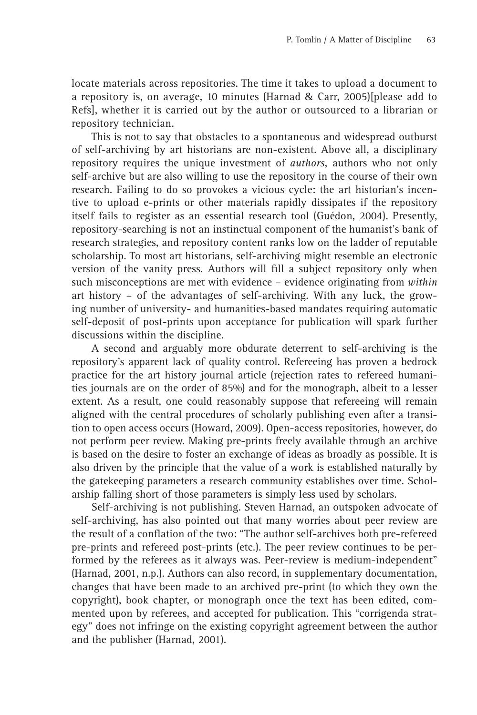locate materials across repositories. The time it takes to upload a document to a repository is, on average, 10 minutes (Harnad & Carr, 2005)[please add to Refs], whether it is carried out by the author or outsourced to a librarian or repository technician.

This is not to say that obstacles to a spontaneous and widespread outburst of self-archiving by art historians are non-existent. Above all, a disciplinary repository requires the unique investment of *authors*, authors who not only self-archive but are also willing to use the repository in the course of their own research. Failing to do so provokes a vicious cycle: the art historian's incentive to upload e-prints or other materials rapidly dissipates if the repository itself fails to register as an essential research tool (Guédon, 2004). Presently, repository-searching is not an instinctual component of the humanist's bank of research strategies, and repository content ranks low on the ladder of reputable scholarship. To most art historians, self-archiving might resemble an electronic version of the vanity press. Authors will fill a subject repository only when such misconceptions are met with evidence – evidence originating from *within* art history – of the advantages of self-archiving. With any luck, the growing number of university- and humanities-based mandates requiring automatic self-deposit of post-prints upon acceptance for publication will spark further discussions within the discipline.

A second and arguably more obdurate deterrent to self-archiving is the repository's apparent lack of quality control. Refereeing has proven a bedrock practice for the art history journal article (rejection rates to refereed humanities journals are on the order of 85%) and for the monograph, albeit to a lesser extent. As a result, one could reasonably suppose that refereeing will remain aligned with the central procedures of scholarly publishing even after a transition to open access occurs (Howard, 2009). Open-access repositories, however, do not perform peer review. Making pre-prints freely available through an archive is based on the desire to foster an exchange of ideas as broadly as possible. It is also driven by the principle that the value of a work is established naturally by the gatekeeping parameters a research community establishes over time. Scholarship falling short of those parameters is simply less used by scholars.

Self-archiving is not publishing. Steven Harnad, an outspoken advocate of self-archiving, has also pointed out that many worries about peer review are the result of a conflation of the two: "The author self-archives both pre-refereed pre-prints and refereed post-prints (etc.). The peer review continues to be performed by the referees as it always was. Peer-review is medium-independent" (Harnad, 2001, n.p.). Authors can also record, in supplementary documentation, changes that have been made to an archived pre-print (to which they own the copyright), book chapter, or monograph once the text has been edited, commented upon by referees, and accepted for publication. This "corrigenda strategy" does not infringe on the existing copyright agreement between the author and the publisher (Harnad, 2001).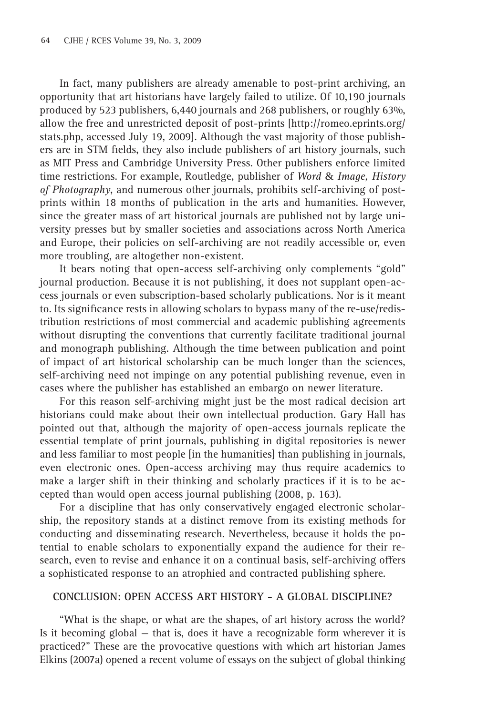In fact, many publishers are already amenable to post-print archiving, an opportunity that art historians have largely failed to utilize. Of 10,190 journals produced by 523 publishers, 6,440 journals and 268 publishers, or roughly 63%, allow the free and unrestricted deposit of post-prints [http://romeo.eprints.org/ stats.php, accessed July 19, 2009]. Although the vast majority of those publishers are in STM fields, they also include publishers of art history journals, such as MIT Press and Cambridge University Press. Other publishers enforce limited time restrictions. For example, Routledge, publisher of *Word* & *Image, History of Photography*, and numerous other journals, prohibits self-archiving of postprints within 18 months of publication in the arts and humanities. However, since the greater mass of art historical journals are published not by large university presses but by smaller societies and associations across North America and Europe, their policies on self-archiving are not readily accessible or, even more troubling, are altogether non-existent.

It bears noting that open-access self-archiving only complements "gold" journal production. Because it is not publishing, it does not supplant open-access journals or even subscription-based scholarly publications. Nor is it meant to. Its significance rests in allowing scholars to bypass many of the re-use/redistribution restrictions of most commercial and academic publishing agreements without disrupting the conventions that currently facilitate traditional journal and monograph publishing. Although the time between publication and point of impact of art historical scholarship can be much longer than the sciences, self-archiving need not impinge on any potential publishing revenue, even in cases where the publisher has established an embargo on newer literature.

For this reason self-archiving might just be the most radical decision art historians could make about their own intellectual production. Gary Hall has pointed out that, although the majority of open-access journals replicate the essential template of print journals, publishing in digital repositories is newer and less familiar to most people [in the humanities] than publishing in journals, even electronic ones. Open-access archiving may thus require academics to make a larger shift in their thinking and scholarly practices if it is to be accepted than would open access journal publishing (2008, p. 163).

For a discipline that has only conservatively engaged electronic scholarship, the repository stands at a distinct remove from its existing methods for conducting and disseminating research. Nevertheless, because it holds the potential to enable scholars to exponentially expand the audience for their research, even to revise and enhance it on a continual basis, self-archiving offers a sophisticated response to an atrophied and contracted publishing sphere.

## **CONCLUSION: OPEN ACCESS ART HISTORY - A GLOBAL DISCIPLINE?**

"What is the shape, or what are the shapes, of art history across the world? Is it becoming global — that is, does it have a recognizable form wherever it is practiced?" These are the provocative questions with which art historian James Elkins (2007a) opened a recent volume of essays on the subject of global thinking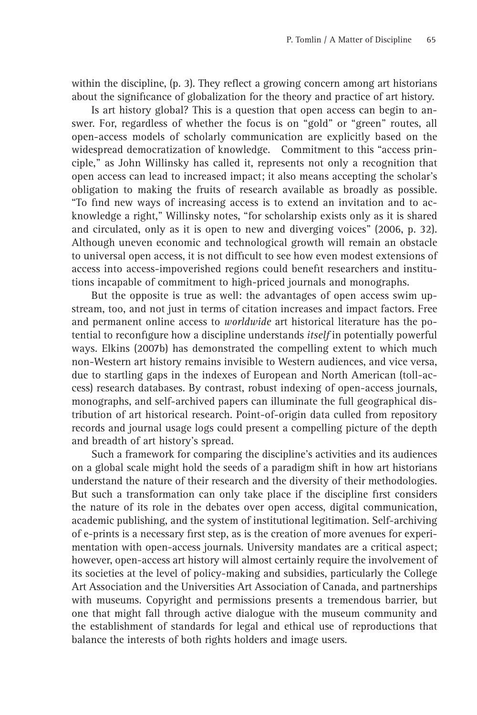within the discipline, (p. 3). They reflect a growing concern among art historians about the significance of globalization for the theory and practice of art history.

Is art history global? This is a question that open access can begin to answer. For, regardless of whether the focus is on "gold" or "green" routes, all open-access models of scholarly communication are explicitly based on the widespread democratization of knowledge. Commitment to this "access principle," as John Willinsky has called it, represents not only a recognition that open access can lead to increased impact; it also means accepting the scholar's obligation to making the fruits of research available as broadly as possible. "To find new ways of increasing access is to extend an invitation and to acknowledge a right," Willinsky notes, "for scholarship exists only as it is shared and circulated, only as it is open to new and diverging voices" (2006, p. 32). Although uneven economic and technological growth will remain an obstacle to universal open access, it is not difficult to see how even modest extensions of access into access-impoverished regions could benefit researchers and institutions incapable of commitment to high-priced journals and monographs.

But the opposite is true as well: the advantages of open access swim upstream, too, and not just in terms of citation increases and impact factors. Free and permanent online access to *worldwide* art historical literature has the potential to reconfigure how a discipline understands *itself* in potentially powerful ways. Elkins (2007b) has demonstrated the compelling extent to which much non-Western art history remains invisible to Western audiences, and vice versa, due to startling gaps in the indexes of European and North American (toll-access) research databases. By contrast, robust indexing of open-access journals, monographs, and self-archived papers can illuminate the full geographical distribution of art historical research. Point-of-origin data culled from repository records and journal usage logs could present a compelling picture of the depth and breadth of art history's spread.

Such a framework for comparing the discipline's activities and its audiences on a global scale might hold the seeds of a paradigm shift in how art historians understand the nature of their research and the diversity of their methodologies. But such a transformation can only take place if the discipline first considers the nature of its role in the debates over open access, digital communication, academic publishing, and the system of institutional legitimation. Self-archiving of e-prints is a necessary first step, as is the creation of more avenues for experimentation with open-access journals. University mandates are a critical aspect; however, open-access art history will almost certainly require the involvement of its societies at the level of policy-making and subsidies, particularly the College Art Association and the Universities Art Association of Canada, and partnerships with museums. Copyright and permissions presents a tremendous barrier, but one that might fall through active dialogue with the museum community and the establishment of standards for legal and ethical use of reproductions that balance the interests of both rights holders and image users.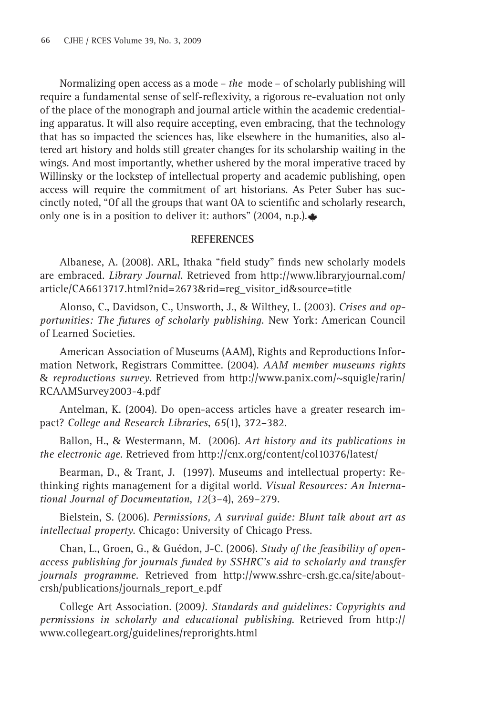Normalizing open access as a mode – *the* mode – of scholarly publishing will require a fundamental sense of self-reflexivity, a rigorous re-evaluation not only of the place of the monograph and journal article within the academic credentialing apparatus. It will also require accepting, even embracing, that the technology that has so impacted the sciences has, like elsewhere in the humanities, also altered art history and holds still greater changes for its scholarship waiting in the wings. And most importantly, whether ushered by the moral imperative traced by Willinsky or the lockstep of intellectual property and academic publishing, open access will require the commitment of art historians. As Peter Suber has succinctly noted, "Of all the groups that want OA to scientific and scholarly research, only one is in a position to deliver it: authors" (2004, n.p.). $\triangleq$ 

## **REFERENCES**

Albanese, A. (2008). ARL, Ithaka "field study" finds new scholarly models are embraced. *Library Journal*. Retrieved from http://www.libraryjournal.com/ article/CA6613717.html?nid=2673&rid=reg\_visitor\_id&source=title

Alonso, C., Davidson, C., Unsworth, J., & Wilthey, L. (2003). *Crises and opportunities: The futures of scholarly publishing.* New York: American Council of Learned Societies.

American Association of Museums (AAM), Rights and Reproductions Information Network, Registrars Committee. (2004). *AAM member museums rights*  & *reproductions survey*. Retrieved from http://www.panix.com/~squigle/rarin/ RCAAMSurvey2003-4.pdf

Antelman, K. (2004). Do open-access articles have a greater research impact? *College and Research Libraries*, *65*(1), 372–382.

Ballon, H., & Westermann, M. (2006). *Art history and its publications in the electronic age*. Retrieved from http://cnx.org/content/col10376/latest/

Bearman, D., & Trant, J. (1997). Museums and intellectual property: Rethinking rights management for a digital world. *Visual Resources: An International Journal of Documentation*, *12*(3–4), 269–279.

Bielstein, S. (2006). *Permissions, A survival guide: Blunt talk about art as intellectual property*. Chicago: University of Chicago Press.

Chan, L., Groen, G., & Guédon, J-C. (2006). *Study of the feasibility of openaccess publishing for journals funded by SSHRC's aid to scholarly and transfer journals programme.* Retrieved from http://www.sshrc-crsh.gc.ca/site/aboutcrsh/publications/journals\_report\_e.pdf

College Art Association. (2009*). Standards and guidelines: Copyrights and permissions in scholarly and educational publishing*. Retrieved from http:// www.collegeart.org/guidelines/reprorights.html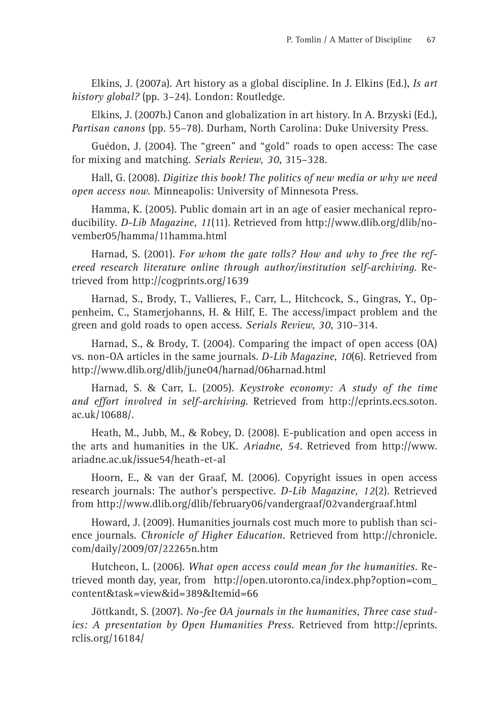Elkins, J. (2007a). Art history as a global discipline. In J. Elkins (Ed.), *Is art history global?* (pp. 3–24). London: Routledge.

Elkins, J. (2007b.) Canon and globalization in art history. In A. Brzyski (Ed.), *Partisan canons* (pp. 55–78). Durham, North Carolina: Duke University Press.

Guédon, J. (2004). The "green" and "gold" roads to open access: The case for mixing and matching. *Serials Review, 30*, 315–328.

Hall, G. (2008). *Digitize this book! The politics of new media or why we need open access now.* Minneapolis: University of Minnesota Press.

Hamma, K. (2005). Public domain art in an age of easier mechanical reproducibility. *D-Lib Magazine, 11*(11). Retrieved from http://www.dlib.org/dlib/november05/hamma/11hamma.html

Harnad, S. (2001). *For whom the gate tolls? How and why to free the refereed research literature online through author/institution self-archiving*. Retrieved from http://cogprints.org/1639

Harnad, S., Brody, T., Vallieres, F., Carr, L., Hitchcock, S., Gingras, Y., Oppenheim, C., Stamerjohanns, H. & Hilf, E*.* The access/impact problem and the green and gold roads to open access. *Serials Review, 30*, 310–314*.*

Harnad, S., & Brody, T. (2004). Comparing the impact of open access (OA) vs. non-OA articles in the same journals. *D-Lib Magazine*, *10*(6). Retrieved from http://www.dlib.org/dlib/june04/harnad/06harnad.html

Harnad, S. & Carr, L. (2005). *Keystroke economy: A study of the time and effort involved in self-archiving*. Retrieved from http://eprints.ecs.soton. ac.uk/10688/.

Heath, M., Jubb, M., & Robey, D. (2008). E-publication and open access in the arts and humanities in the UK. *Ariadne, 54*. Retrieved from http://www. ariadne.ac.uk/issue54/heath-et-al

Hoorn, E., & van der Graaf, M. (2006). Copyright issues in open access research journals: The author's perspective. *D-Lib Magazine, 12*(2). Retrieved from http://www.dlib.org/dlib/february06/vandergraaf/02vandergraaf.html

Howard, J. (2009). Humanities journals cost much more to publish than science journals. *Chronicle of Higher Education.* Retrieved from http://chronicle. com/daily/2009/07/22265n.htm

Hutcheon, L. (2006). *What open access could mean for the humanities.* Retrieved month day, year, fromhttp://open.utoronto.ca/index.php?option=com\_ content&task=view&id=389&Itemid=66

Jöttkandt, S. (2007)*. No-fee OA journals in the humanities, Three case studies: A presentation by Open Humanities Press.* Retrieved from http://eprints. rclis.org/16184/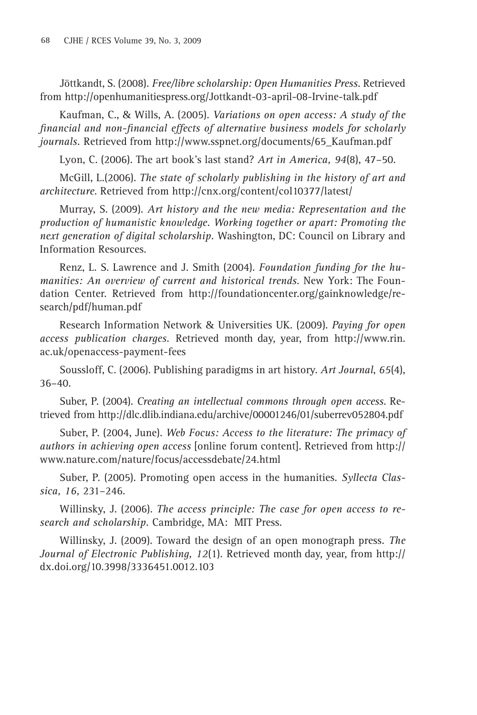Jöttkandt, S. (2008)*. Free/libre scholarship: Open Humanities Press.* Retrieved from http://openhumanitiespress.org/Jottkandt-03-april-08-Irvine-talk.pdf

Kaufman, C., & Wills, A. (2005). *Variations on open access: A study of the fi nancial and non-fi nancial effects of alternative business models for scholarly journals.* Retrieved from http://www.sspnet.org/documents/65\_Kaufman.pdf

Lyon, C. (2006). The art book's last stand? *Art in America, 94*(8), 47–50.

McGill, L.(2006). *The state of scholarly publishing in the history of art and architecture*. Retrieved from http://cnx.org/content/col10377/latest/

Murray, S. (2009). *Art history and the new media: Representation and the production of humanistic knowledge. Working together or apart: Promoting the next generation of digital scholarship.* Washington, DC: Council on Library and Information Resources.

Renz, L. S. Lawrence and J. Smith (2004). *Foundation funding for the humanities: An overview of current and historical trends*. New York: The Foundation Center. Retrieved from http://foundationcenter.org/gainknowledge/research/pdf/human.pdf

Research Information Network & Universities UK. (2009). *Paying for open access publication charges.* Retrieved month day, year, from http://www.rin. ac.uk/openaccess-payment-fees

Soussloff, C. (2006). Publishing paradigms in art history. *Art Journal*, *65*(4), 36–40.

Suber, P. (2004). *Creating an intellectual commons through open access*. Retrieved from http://dlc.dlib.indiana.edu/archive/00001246/01/suberrev052804.pdf

Suber, P. (2004, June). *Web Focus: Access to the literature: The primacy of authors in achieving open access* [online forum content]. Retrieved from http:// www.nature.com/nature/focus/accessdebate/24.html

Suber, P. (2005). Promoting open access in the humanities. *Syllecta Classica, 16,* 231–246.

Willinsky, J. (2006). *The access principle: The case for open access to research and scholarship.* Cambridge, MA: MIT Press.

Willinsky, J. (2009). Toward the design of an open monograph press*. The Journal of Electronic Publishing, 12*(1). Retrieved month day, year, from http:// dx.doi.org/10.3998/3336451.0012.103